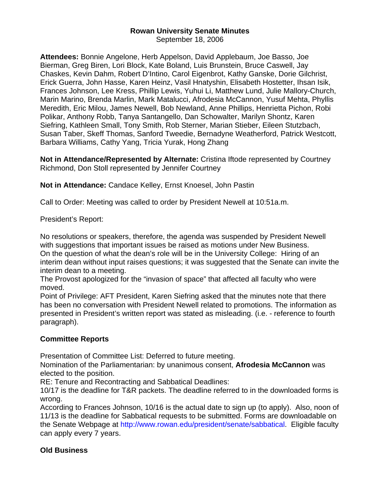# **Rowan University Senate Minutes**

September 18, 2006

**Attendees:** Bonnie Angelone, Herb Appelson, David Applebaum, Joe Basso, Joe Bierman, Greg Biren, Lori Block, Kate Boland, Luis Brunstein, Bruce Caswell, Jay Chaskes, Kevin Dahm, Robert D'Intino, Carol Eigenbrot, Kathy Ganske, Dorie Gilchrist, Erick Guerra, John Hasse, Karen Heinz, Vasil Hnatyshin, Elisabeth Hostetter, Ihsan Isik, Frances Johnson, Lee Kress, Phillip Lewis, Yuhui Li, Matthew Lund, Julie Mallory-Church, Marin Marino, Brenda Marlin, Mark Matalucci, Afrodesia McCannon, Yusuf Mehta, Phyllis Meredith, Eric Milou, James Newell, Bob Newland, Anne Phillips, Henrietta Pichon, Robi Polikar, Anthony Robb, Tanya Santangello, Dan Schowalter, Marilyn Shontz, Karen Siefring, Kathleen Small, Tony Smith, Rob Sterner, Marian Stieber, Eileen Stutzbach, Susan Taber, Skeff Thomas, Sanford Tweedie, Bernadyne Weatherford, Patrick Westcott, Barbara Williams, Cathy Yang, Tricia Yurak, Hong Zhang

**Not in Attendance/Represented by Alternate:** Cristina Iftode represented by Courtney Richmond, Don Stoll represented by Jennifer Courtney

**Not in Attendance:** Candace Kelley, Ernst Knoesel, John Pastin

Call to Order: Meeting was called to order by President Newell at 10:51a.m.

President's Report:

No resolutions or speakers, therefore, the agenda was suspended by President Newell with suggestions that important issues be raised as motions under New Business. On the question of what the dean's role will be in the University College: Hiring of an interim dean without input raises questions; it was suggested that the Senate can invite the interim dean to a meeting.

The Provost apologized for the "invasion of space" that affected all faculty who were moved.

Point of Privilege: AFT President, Karen Siefring asked that the minutes note that there has been no conversation with President Newell related to promotions. The information as presented in President's written report was stated as misleading. (i.e. - reference to fourth paragraph).

## **Committee Reports**

Presentation of Committee List: Deferred to future meeting.

Nomination of the Parliamentarian: by unanimous consent, **Afrodesia McCannon** was elected to the position.

RE: Tenure and Recontracting and Sabbatical Deadlines:

10/17 is the deadline for T&R packets. The deadline referred to in the downloaded forms is wrong.

According to Frances Johnson, 10/16 is the actual date to sign up (to apply). Also, noon of 11/13 is the deadline for Sabbatical requests to be submitted. Forms are downloadable on the Senate Webpage at http://www.rowan.edu/president/senate/sabbatical. Eligible faculty can apply every 7 years.

## **Old Business**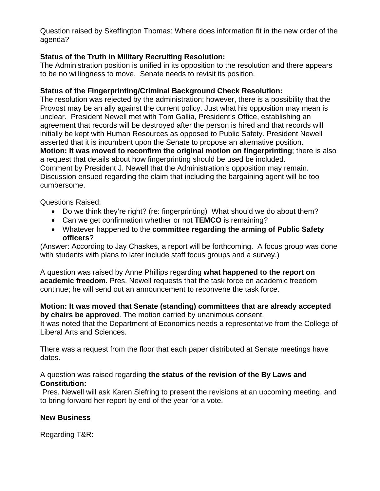Question raised by Skeffington Thomas: Where does information fit in the new order of the agenda?

### **Status of the Truth in Military Recruiting Resolution:**

The Administration position is unified in its opposition to the resolution and there appears to be no willingness to move. Senate needs to revisit its position.

### **Status of the Fingerprinting/Criminal Background Check Resolution:**

The resolution was rejected by the administration; however, there is a possibility that the Provost may be an ally against the current policy. Just what his opposition may mean is unclear. President Newell met with Tom Gallia, President's Office, establishing an agreement that records will be destroyed after the person is hired and that records will initially be kept with Human Resources as opposed to Public Safety. President Newell asserted that it is incumbent upon the Senate to propose an alternative position. **Motion: It was moved to reconfirm the original motion on fingerprinting**; there is also a request that details about how fingerprinting should be used be included. Comment by President J. Newell that the Administration's opposition may remain. Discussion ensued regarding the claim that including the bargaining agent will be too cumbersome.

Questions Raised:

- Do we think they're right? (re: fingerprinting) What should we do about them?
- Can we get confirmation whether or not **TEMCO** is remaining?
- Whatever happened to the **committee regarding the arming of Public Safety officers**?

(Answer: According to Jay Chaskes, a report will be forthcoming. A focus group was done with students with plans to later include staff focus groups and a survey.)

A question was raised by Anne Phillips regarding **what happened to the report on academic freedom.** Pres. Newell requests that the task force on academic freedom continue; he will send out an announcement to reconvene the task force.

#### **Motion: It was moved that Senate (standing) committees that are already accepted by chairs be approved**. The motion carried by unanimous consent.

It was noted that the Department of Economics needs a representative from the College of Liberal Arts and Sciences.

There was a request from the floor that each paper distributed at Senate meetings have dates.

#### A question was raised regarding **the status of the revision of the By Laws and Constitution:**

 Pres. Newell will ask Karen Siefring to present the revisions at an upcoming meeting, and to bring forward her report by end of the year for a vote.

## **New Business**

Regarding T&R: